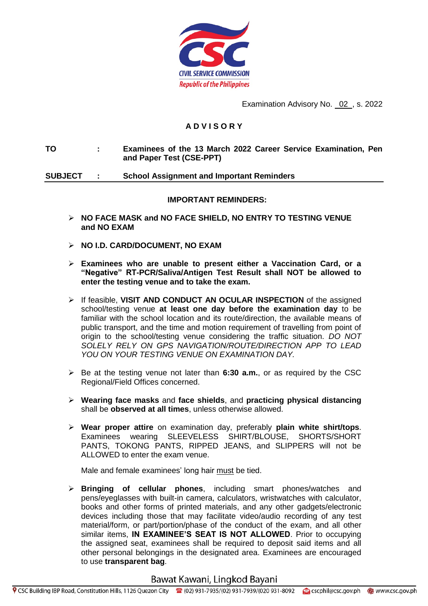

Examination Advisory No. 02 , s. 2022

## **A D V I S O R Y**

**TO : Examinees of the 13 March 2022 Career Service Examination, Pen and Paper Test (CSE-PPT)**

**SUBJECT : School Assignment and Important Reminders**

#### **IMPORTANT REMINDERS:**

- **NO FACE MASK and NO FACE SHIELD, NO ENTRY TO TESTING VENUE and NO EXAM**
- **NO I.D. CARD/DOCUMENT, NO EXAM**
- **Examinees who are unable to present either a Vaccination Card, or a "Negative" RT-PCR/Saliva/Antigen Test Result shall NOT be allowed to enter the testing venue and to take the exam.**
- If feasible, **VISIT AND CONDUCT AN OCULAR INSPECTION** of the assigned school/testing venue **at least one day before the examination day** to be familiar with the school location and its route/direction, the available means of public transport, and the time and motion requirement of travelling from point of origin to the school/testing venue considering the traffic situation. *DO NOT SOLELY RELY ON GPS NAVIGATION/ROUTE/DIRECTION APP TO LEAD YOU ON YOUR TESTING VENUE ON EXAMINATION DAY.*
- Be at the testing venue not later than **6:30 a.m.**, or as required by the CSC Regional/Field Offices concerned.
- **Wearing face masks** and **face shields**, and **practicing physical distancing** shall be **observed at all times**, unless otherwise allowed.
- **Wear proper attire** on examination day, preferably **plain white shirt/tops**. Examinees wearing SLEEVELESS SHIRT/BLOUSE, SHORTS/SHORT PANTS, TOKONG PANTS, RIPPED JEANS, and SLIPPERS will not be ALLOWED to enter the exam venue.

Male and female examinees' long hair must be tied.

 **Bringing of cellular phones**, including smart phones/watches and pens/eyeglasses with built-in camera, calculators, wristwatches with calculator, books and other forms of printed materials, and any other gadgets/electronic devices including those that may facilitate video/audio recording of any test material/form, or part/portion/phase of the conduct of the exam, and all other similar items, **IN EXAMINEE'S SEAT IS NOT ALLOWED**. Prior to occupying the assigned seat, examinees shall be required to deposit said items and all other personal belongings in the designated area. Examinees are encouraged to use **transparent bag**.

## Bawat Kawani, Lingkod Bayani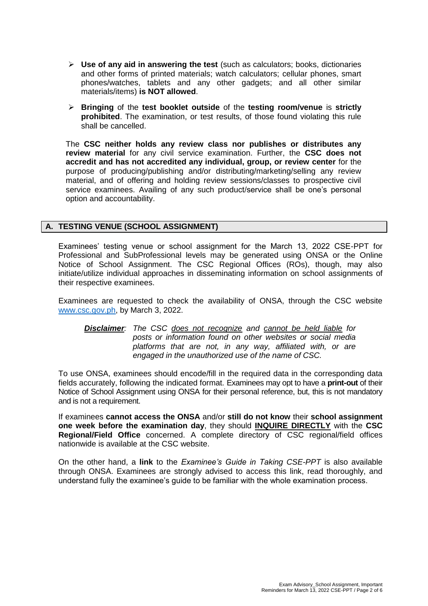- **Use of any aid in answering the test** (such as calculators; books, dictionaries and other forms of printed materials; watch calculators; cellular phones, smart phones/watches, tablets and any other gadgets; and all other similar materials/items) **is NOT allowed**.
- **Bringing** of the **test booklet outside** of the **testing room/venue** is **strictly prohibited**. The examination, or test results, of those found violating this rule shall be cancelled.

The **CSC neither holds any review class nor publishes or distributes any review material** for any civil service examination. Further, the **CSC does not accredit and has not accredited any individual, group, or review center** for the purpose of producing/publishing and/or distributing/marketing/selling any review material, and of offering and holding review sessions/classes to prospective civil service examinees. Availing of any such product/service shall be one's personal option and accountability.

## **A. TESTING VENUE (SCHOOL ASSIGNMENT)**

Examinees' testing venue or school assignment for the March 13, 2022 CSE-PPT for Professional and SubProfessional levels may be generated using ONSA or the Online Notice of School Assignment. The CSC Regional Offices (ROs), though, may also initiate/utilize individual approaches in disseminating information on school assignments of their respective examinees.

Examinees are requested to check the availability of ONSA, through the CSC website [www.csc.gov.ph,](http://www.csc.gov.ph/) by March 3, 2022.

*Disclaimer: The CSC does not recognize and cannot be held liable for posts or information found on other websites or social media platforms that are not, in any way, affiliated with, or are engaged in the unauthorized use of the name of CSC.*

To use ONSA, examinees should encode/fill in the required data in the corresponding data fields accurately, following the indicated format. Examinees may opt to have a **print-out** of their Notice of School Assignment using ONSA for their personal reference, but, this is not mandatory and is not a requirement.

If examinees **cannot access the ONSA** and/or **still do not know** their **school assignment one week before the examination day**, they should **INQUIRE DIRECTLY** with the **CSC Regional/Field Office** concerned. A complete directory of CSC regional/field offices nationwide is available at the CSC website.

On the other hand, a **link** to the *Examinee's Guide in Taking CSE-PPT* is also available through ONSA. Examinees are strongly advised to access this link, read thoroughly, and understand fully the examinee's guide to be familiar with the whole examination process.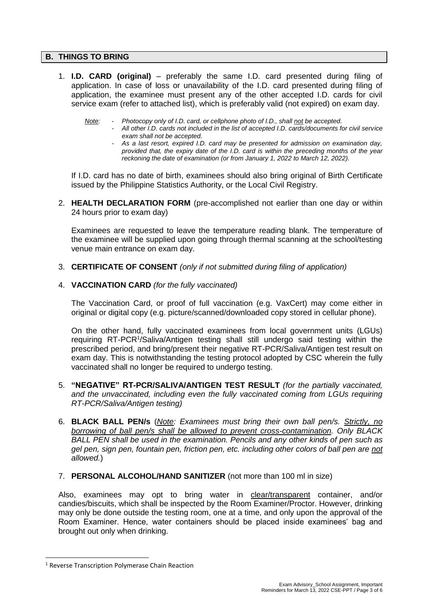### **B. THINGS TO BRING**

- 1. **I.D. CARD (original)** preferably the same I.D. card presented during filing of application. In case of loss or unavailability of the I.D. card presented during filing of application, the examinee must present any of the other accepted I.D. cards for civil service exam (refer to attached list), which is preferably valid (not expired) on exam day.
	- *Note: - Photocopy only of I.D. card, or cellphone photo of I.D., shall not be accepted.*
		- *- All other I.D. cards not included in the list of accepted I.D. cards/documents for civil service exam shall not be accepted.*
		- *- As a last resort, expired I.D. card may be presented for admission on examination day, provided that, the expiry date of the I.D. card is within the preceding months of the year reckoning the date of examination (or from January 1, 2022 to March 12, 2022).*

If I.D. card has no date of birth, examinees should also bring original of Birth Certificate issued by the Philippine Statistics Authority, or the Local Civil Registry.

2. **HEALTH DECLARATION FORM** (pre-accomplished not earlier than one day or within 24 hours prior to exam day)

Examinees are requested to leave the temperature reading blank. The temperature of the examinee will be supplied upon going through thermal scanning at the school/testing venue main entrance on exam day.

- 3. **CERTIFICATE OF CONSENT** *(only if not submitted during filing of application)*
- 4. **VACCINATION CARD** *(for the fully vaccinated)*

The Vaccination Card, or proof of full vaccination (e.g. VaxCert) may come either in original or digital copy (e.g. picture/scanned/downloaded copy stored in cellular phone).

On the other hand, fully vaccinated examinees from local government units (LGUs) requiring RT-PCR<sup>1</sup>/Saliva/Antigen testing shall still undergo said testing within the prescribed period, and bring/present their negative RT-PCR/Saliva/Antigen test result on exam day. This is notwithstanding the testing protocol adopted by CSC wherein the fully vaccinated shall no longer be required to undergo testing.

- 5. **"NEGATIVE" RT-PCR/SALIVA/ANTIGEN TEST RESULT** *(for the partially vaccinated,*  and the unvaccinated, including even the fully vaccinated coming from LGUs requiring *RT-PCR/Saliva/Antigen testing)*
- 6. **BLACK BALL PEN/s** (*Note: Examinees must bring their own ball pen/s. Strictly, no borrowing of ball pen/s shall be allowed to prevent cross-contamination. Only BLACK BALL PEN shall be used in the examination. Pencils and any other kinds of pen such as gel pen, sign pen, fountain pen, friction pen, etc. including other colors of ball pen are not allowed.*)
- 7. **PERSONAL ALCOHOL/HAND SANITIZER** (not more than 100 ml in size)

Also, examinees may opt to bring water in clear/transparent container, and/or candies/biscuits, which shall be inspected by the Room Examiner/Proctor. However, drinking may only be done outside the testing room, one at a time, and only upon the approval of the Room Examiner. Hence, water containers should be placed inside examinees' bag and brought out only when drinking.

l

<sup>1</sup> Reverse Transcription Polymerase Chain Reaction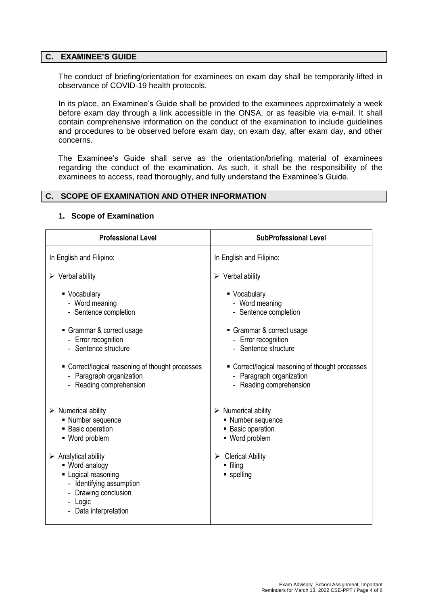#### **C. EXAMINEE'S GUIDE**

The conduct of briefing/orientation for examinees on exam day shall be temporarily lifted in observance of COVID-19 health protocols.

In its place, an Examinee's Guide shall be provided to the examinees approximately a week before exam day through a link accessible in the ONSA, or as feasible via e-mail. It shall contain comprehensive information on the conduct of the examination to include guidelines and procedures to be observed before exam day, on exam day, after exam day, and other concerns.

The Examinee's Guide shall serve as the orientation/briefing material of examinees regarding the conduct of the examination. As such, it shall be the responsibility of the examinees to access, read thoroughly, and fully understand the Examinee's Guide.

#### **C. SCOPE OF EXAMINATION AND OTHER INFORMATION**

| <b>Professional Level</b>                                                                                                                                                                      | <b>SubProfessional Level</b>                                        |  |
|------------------------------------------------------------------------------------------------------------------------------------------------------------------------------------------------|---------------------------------------------------------------------|--|
| In English and Filipino:                                                                                                                                                                       | In English and Filipino:                                            |  |
| $\triangleright$ Verbal ability                                                                                                                                                                | $\triangleright$ Verbal ability                                     |  |
| • Vocabulary                                                                                                                                                                                   | ■ Vocabulary                                                        |  |
| - Word meaning                                                                                                                                                                                 | - Word meaning                                                      |  |
| - Sentence completion                                                                                                                                                                          | - Sentence completion                                               |  |
| • Grammar & correct usage                                                                                                                                                                      | Grammar & correct usage                                             |  |
| - Error recognition                                                                                                                                                                            | - Error recognition                                                 |  |
| - Sentence structure                                                                                                                                                                           | - Sentence structure                                                |  |
| • Correct/logical reasoning of thought processes                                                                                                                                               | • Correct/logical reasoning of thought processes                    |  |
| - Paragraph organization                                                                                                                                                                       | - Paragraph organization                                            |  |
| - Reading comprehension                                                                                                                                                                        | - Reading comprehension                                             |  |
| $\triangleright$ Numerical ability                                                                                                                                                             | $\triangleright$ Numerical ability                                  |  |
| • Number sequence                                                                                                                                                                              | • Number sequence                                                   |  |
| <b>Basic operation</b>                                                                                                                                                                         | <b>Basic operation</b>                                              |  |
| - Word problem                                                                                                                                                                                 | • Word problem                                                      |  |
| $\triangleright$ Analytical ability<br>- Word analogy<br>• Logical reasoning<br>- Identifying assumption<br>Drawing conclusion<br>Logic<br>Data interpretation<br>$\qquad \qquad \blacksquare$ | <b>Clerical Ability</b><br>➤<br>$\blacksquare$ filing<br>• spelling |  |

#### **1. Scope of Examination**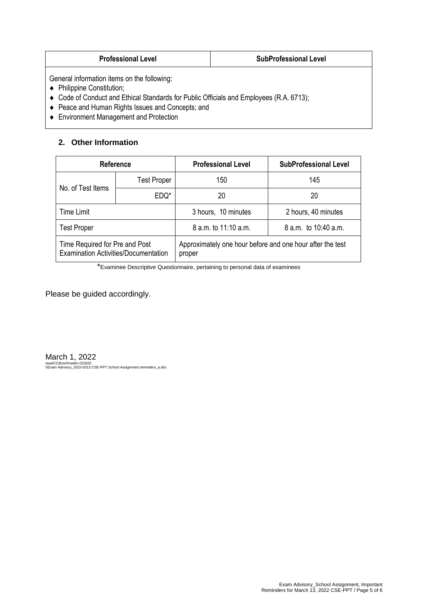| <b>SubProfessional Level</b><br><b>Professional Level</b> |
|-----------------------------------------------------------|
|-----------------------------------------------------------|

General information items on the following:

- ◆ Philippine Constitution;
- Code of Conduct and Ethical Standards for Public Officials and Employees (R.A. 6713);
- Peace and Human Rights Issues and Concepts; and
- ◆ Environment Management and Protection

## **2. Other Information**

| <b>Reference</b>                                                                                                                                     |                    | <b>Professional Level</b> | <b>SubProfessional Level</b> |
|------------------------------------------------------------------------------------------------------------------------------------------------------|--------------------|---------------------------|------------------------------|
| No. of Test Items                                                                                                                                    | <b>Test Proper</b> | 150                       | 145                          |
|                                                                                                                                                      | EDQ*               | 20                        | 20                           |
| <b>Time Limit</b>                                                                                                                                    |                    | 3 hours, 10 minutes       | 2 hours, 40 minutes          |
| <b>Test Proper</b>                                                                                                                                   |                    | 8 a.m. to 11:10 a.m.      | 8 a.m. to 10:40 a.m.         |
| Time Required for Pre and Post<br>Approximately one hour before and one hour after the test<br><b>Examination Activities/Documentation</b><br>proper |                    |                           |                              |

\*Examinee Descriptive Questionnaire, pertaining to personal data of examinees

Please be guided accordingly.

March 1, 2022

/ead/CCB/svf/masfm.022822 \\Exam Advisory\_2022-0313 CSE-PPT School Assignment,reminders\_a.doc